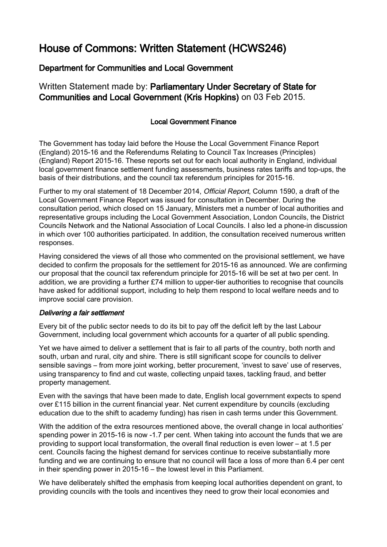# House of Commons: Written Statement (HCWS246)

# Department for Communities and Local Government

Written Statement made by: Parliamentary Under Secretary of State for Communities and Local Government (Kris Hopkins) on 03 Feb 2015.

## Local Government Finance

The Government has today laid before the House the Local Government Finance Report (England) 2015-16 and the Referendums Relating to Council Tax Increases (Principles) (England) Report 2015-16. These reports set out for each local authority in England, individual local government finance settlement funding assessments, business rates tariffs and top-ups, the basis of their distributions, and the council tax referendum principles for 2015-16.

Further to my oral statement of 18 December 2014, Official Report, Column 1590, a draft of the Local Government Finance Report was issued for consultation in December. During the consultation period, which closed on 15 January, Ministers met a number of local authorities and representative groups including the Local Government Association, London Councils, the District Councils Network and the National Association of Local Councils. I also led a phone-in discussion in which over 100 authorities participated. In addition, the consultation received numerous written responses.

Having considered the views of all those who commented on the provisional settlement, we have decided to confirm the proposals for the settlement for 2015-16 as announced. We are confirming our proposal that the council tax referendum principle for 2015-16 will be set at two per cent. In addition, we are providing a further £74 million to upper-tier authorities to recognise that councils have asked for additional support, including to help them respond to local welfare needs and to improve social care provision.

### Delivering a fair settlement

Every bit of the public sector needs to do its bit to pay off the deficit left by the last Labour Government, including local government which accounts for a quarter of all public spending.

Yet we have aimed to deliver a settlement that is fair to all parts of the country, both north and south, urban and rural, city and shire. There is still significant scope for councils to deliver sensible savings – from more joint working, better procurement, 'invest to save' use of reserves, using transparency to find and cut waste, collecting unpaid taxes, tackling fraud, and better property management.

Even with the savings that have been made to date, English local government expects to spend over £115 billion in the current financial year. Net current expenditure by councils (excluding education due to the shift to academy funding) has risen in cash terms under this Government.

With the addition of the extra resources mentioned above, the overall change in local authorities' spending power in 2015-16 is now -1.7 per cent. When taking into account the funds that we are providing to support local transformation, the overall final reduction is even lower – at 1.5 per cent. Councils facing the highest demand for services continue to receive substantially more funding and we are continuing to ensure that no council will face a loss of more than 6.4 per cent in their spending power in 2015-16 – the lowest level in this Parliament.

We have deliberately shifted the emphasis from keeping local authorities dependent on grant, to providing councils with the tools and incentives they need to grow their local economies and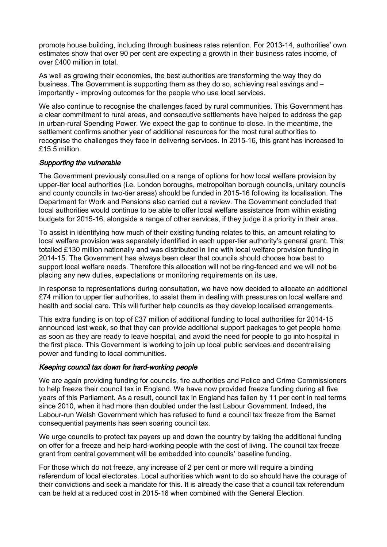promote house building, including through business rates retention. For 2013-14, authorities' own estimates show that over 90 per cent are expecting a growth in their business rates income, of over £400 million in total.

As well as growing their economies, the best authorities are transforming the way they do business. The Government is supporting them as they do so, achieving real savings and – importantly - improving outcomes for the people who use local services.

We also continue to recognise the challenges faced by rural communities. This Government has a clear commitment to rural areas, and consecutive settlements have helped to address the gap in urban-rural Spending Power. We expect the gap to continue to close. In the meantime, the settlement confirms another year of additional resources for the most rural authorities to recognise the challenges they face in delivering services. In 2015-16, this grant has increased to £15.5 million.

#### Supporting the vulnerable

The Government previously consulted on a range of options for how local welfare provision by upper-tier local authorities (i.e. London boroughs, metropolitan borough councils, unitary councils and county councils in two-tier areas) should be funded in 2015-16 following its localisation. The Department for Work and Pensions also carried out a review. The Government concluded that local authorities would continue to be able to offer local welfare assistance from within existing budgets for 2015-16, alongside a range of other services, if they judge it a priority in their area.

To assist in identifying how much of their existing funding relates to this, an amount relating to local welfare provision was separately identified in each upper-tier authority's general grant. This totalled £130 million nationally and was distributed in line with local welfare provision funding in 2014-15. The Government has always been clear that councils should choose how best to support local welfare needs. Therefore this allocation will not be ring-fenced and we will not be placing any new duties, expectations or monitoring requirements on its use.

In response to representations during consultation, we have now decided to allocate an additional £74 million to upper tier authorities, to assist them in dealing with pressures on local welfare and health and social care. This will further help councils as they develop localised arrangements.

This extra funding is on top of £37 million of additional funding to local authorities for 2014-15 announced last week, so that they can provide additional support packages to get people home as soon as they are ready to leave hospital, and avoid the need for people to go into hospital in the first place. This Government is working to join up local public services and decentralising power and funding to local communities.

#### Keeping council tax down for hard-working people

We are again providing funding for councils, fire authorities and Police and Crime Commissioners to help freeze their council tax in England. We have now provided freeze funding during all five years of this Parliament. As a result, council tax in England has fallen by 11 per cent in real terms since 2010, when it had more than doubled under the last Labour Government. Indeed, the Labour-run Welsh Government which has refused to fund a council tax freeze from the Barnet consequential payments has seen soaring council tax.

We urge councils to protect tax payers up and down the country by taking the additional funding on offer for a freeze and help hard-working people with the cost of living. The council tax freeze grant from central government will be embedded into councils' baseline funding.

For those which do not freeze, any increase of 2 per cent or more will require a binding referendum of local electorates. Local authorities which want to do so should have the courage of their convictions and seek a mandate for this. It is already the case that a council tax referendum can be held at a reduced cost in 2015-16 when combined with the General Election.